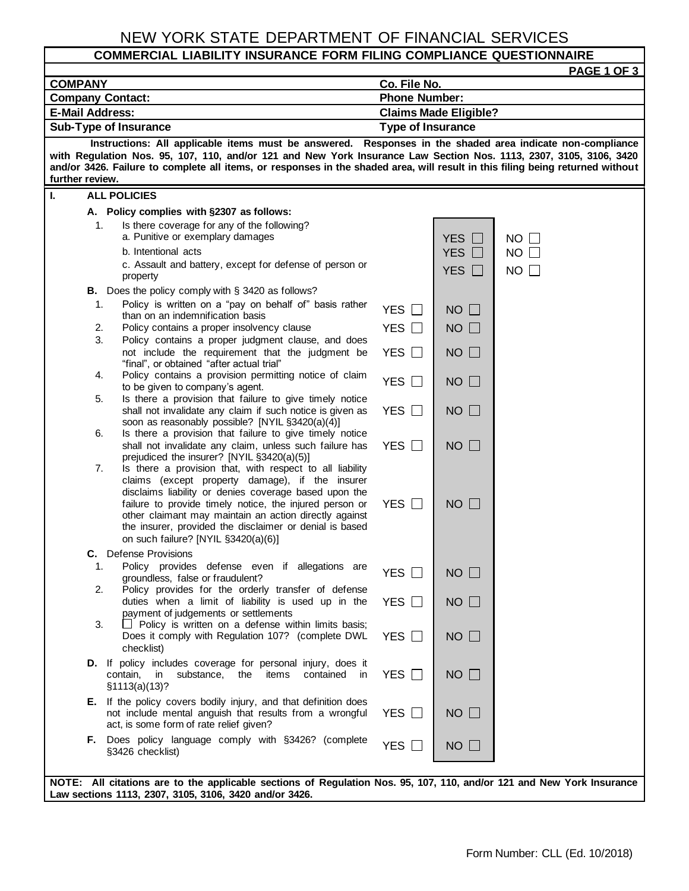# NEW YORK STATE DEPARTMENT OF FINANCIAL SERVICES

#### **COMMERCIAL LIABILITY INSURANCE FORM FILING COMPLIANCE QUESTIONNAIRE**

|                                                                                                                                                                                                                                                                                                                                                                                                   |                                                          | PAGE 1 OF 3 |  |  |  |  |  |
|---------------------------------------------------------------------------------------------------------------------------------------------------------------------------------------------------------------------------------------------------------------------------------------------------------------------------------------------------------------------------------------------------|----------------------------------------------------------|-------------|--|--|--|--|--|
| <b>COMPANY</b>                                                                                                                                                                                                                                                                                                                                                                                    | Co. File No.                                             |             |  |  |  |  |  |
| <b>Company Contact:</b>                                                                                                                                                                                                                                                                                                                                                                           | <b>Phone Number:</b>                                     |             |  |  |  |  |  |
| <b>E-Mail Address:</b><br>Sub-Type of Insurance                                                                                                                                                                                                                                                                                                                                                   | <b>Claims Made Eligible?</b><br><b>Type of Insurance</b> |             |  |  |  |  |  |
|                                                                                                                                                                                                                                                                                                                                                                                                   |                                                          |             |  |  |  |  |  |
| Instructions: All applicable items must be answered. Responses in the shaded area indicate non-compliance<br>with Regulation Nos. 95, 107, 110, and/or 121 and New York Insurance Law Section Nos. 1113, 2307, 3105, 3106, 3420<br>and/or 3426. Failure to complete all items, or responses in the shaded area, will result in this filing being returned without<br>further review.              |                                                          |             |  |  |  |  |  |
| <b>ALL POLICIES</b><br>L.                                                                                                                                                                                                                                                                                                                                                                         |                                                          |             |  |  |  |  |  |
| A. Policy complies with §2307 as follows:                                                                                                                                                                                                                                                                                                                                                         |                                                          |             |  |  |  |  |  |
| Is there coverage for any of the following?<br>1.<br>a. Punitive or exemplary damages                                                                                                                                                                                                                                                                                                             | YES $\Box$                                               | $NO$ $\Box$ |  |  |  |  |  |
| b. Intentional acts                                                                                                                                                                                                                                                                                                                                                                               | <b>YES</b>                                               | $NO$ $\Box$ |  |  |  |  |  |
| c. Assault and battery, except for defense of person or<br>property                                                                                                                                                                                                                                                                                                                               | YES $\Box$                                               | $NO$ $\Box$ |  |  |  |  |  |
| <b>B.</b> Does the policy comply with $\S$ 3420 as follows?                                                                                                                                                                                                                                                                                                                                       |                                                          |             |  |  |  |  |  |
| Policy is written on a "pay on behalf of" basis rather<br>1.<br>than on an indemnification basis                                                                                                                                                                                                                                                                                                  | YES □<br>$NO$ $\Box$                                     |             |  |  |  |  |  |
| Policy contains a proper insolvency clause<br>2.                                                                                                                                                                                                                                                                                                                                                  | YES $\Box$<br>$NO$ $\Box$                                |             |  |  |  |  |  |
| 3.<br>Policy contains a proper judgment clause, and does<br>not include the requirement that the judgment be                                                                                                                                                                                                                                                                                      | YES $\Box$<br>$NO$ $\Box$                                |             |  |  |  |  |  |
| "final", or obtained "after actual trial"<br>Policy contains a provision permitting notice of claim<br>4.<br>to be given to company's agent.                                                                                                                                                                                                                                                      | YES $\Box$<br>$NO$ $\Box$                                |             |  |  |  |  |  |
| Is there a provision that failure to give timely notice<br>5.                                                                                                                                                                                                                                                                                                                                     |                                                          |             |  |  |  |  |  |
| shall not invalidate any claim if such notice is given as<br>soon as reasonably possible? [NYIL §3420(a)(4)]                                                                                                                                                                                                                                                                                      | YES $\Box$<br>$NO$ $\Box$                                |             |  |  |  |  |  |
| 6.<br>Is there a provision that failure to give timely notice<br>shall not invalidate any claim, unless such failure has<br>prejudiced the insurer? [NYIL §3420(a)(5)]                                                                                                                                                                                                                            | $NO$ $\Box$<br>YES $\Box$                                |             |  |  |  |  |  |
| Is there a provision that, with respect to all liability<br>7.<br>claims (except property damage), if the insurer<br>disclaims liability or denies coverage based upon the<br>failure to provide timely notice, the injured person or<br>other claimant may maintain an action directly against<br>the insurer, provided the disclaimer or denial is based<br>on such failure? [NYIL §3420(a)(6)] | YES $\Box$<br>$NO$ $\Box$                                |             |  |  |  |  |  |
| <b>C.</b> Defense Provisions                                                                                                                                                                                                                                                                                                                                                                      |                                                          |             |  |  |  |  |  |
| Policy provides defense even if allegations are<br>groundless, false or fraudulent?                                                                                                                                                                                                                                                                                                               | YES $\square$<br>$NO$ $\Box$                             |             |  |  |  |  |  |
| Policy provides for the orderly transfer of defense<br>2.<br>duties when a limit of liability is used up in the<br>payment of judgements or settlements                                                                                                                                                                                                                                           | YES $\Box$<br>$NO$ $\Box$                                |             |  |  |  |  |  |
| $\Box$ Policy is written on a defense within limits basis;<br>3.<br>Does it comply with Regulation 107? (complete DWL<br>checklist)                                                                                                                                                                                                                                                               | YES $\Box$<br>$NO$ $\Box$                                |             |  |  |  |  |  |
| D. If policy includes coverage for personal injury, does it<br>substance,<br>contain, in<br>the<br>items<br>contained<br><i>in</i><br>\$1113(a)(13)?                                                                                                                                                                                                                                              | $NO$ $\Box$<br>YES $\Box$                                |             |  |  |  |  |  |
| If the policy covers bodily injury, and that definition does<br>Е.<br>not include mental anguish that results from a wrongful<br>act, is some form of rate relief given?                                                                                                                                                                                                                          | YES $\Box$<br>$NO$ $\Box$                                |             |  |  |  |  |  |
| F. Does policy language comply with §3426? (complete<br>§3426 checklist)                                                                                                                                                                                                                                                                                                                          | YES $\Box$<br>$NO$ $\Box$                                |             |  |  |  |  |  |
| NOTE: All citations are to the applicable sections of Regulation Nos. 95, 107, 110, and/or 121 and New York Insurance<br>Law sections 1113, 2307, 3105, 3106, 3420 and/or 3426.                                                                                                                                                                                                                   |                                                          |             |  |  |  |  |  |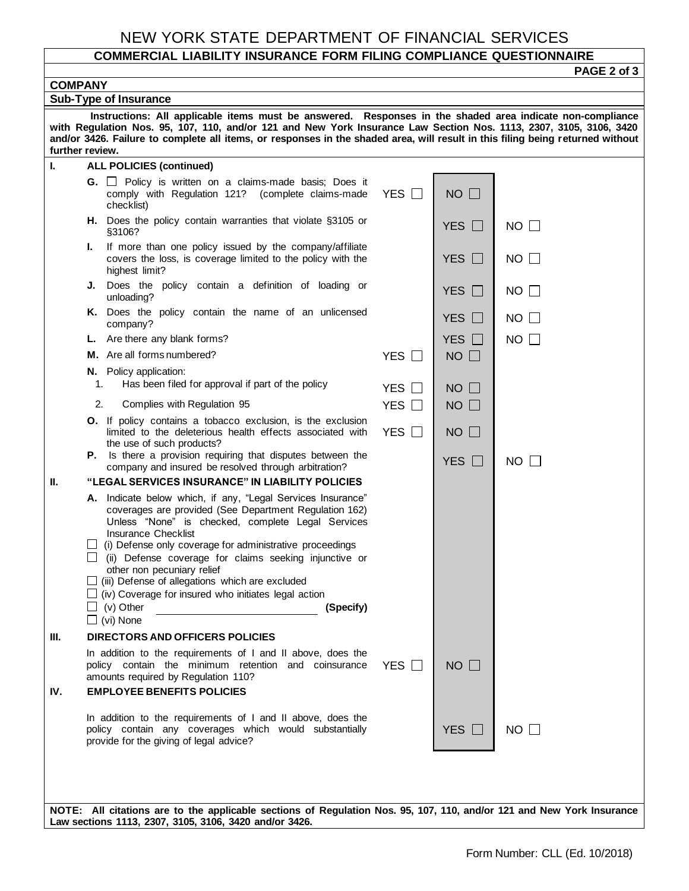## NEW YORK STATE DEPARTMENT OF FINANCIAL SERVICES

### **COMMERCIAL LIABILITY INSURANCE FORM FILING COMPLIANCE QUESTIONNAIRE**

|                                                                                                                                                                                                                                                                                                                                                                                                                      |                                                                                                                                                                                                                                                                                                                                                              |            |                    | PAGE 2 of 3 |  |  |  |
|----------------------------------------------------------------------------------------------------------------------------------------------------------------------------------------------------------------------------------------------------------------------------------------------------------------------------------------------------------------------------------------------------------------------|--------------------------------------------------------------------------------------------------------------------------------------------------------------------------------------------------------------------------------------------------------------------------------------------------------------------------------------------------------------|------------|--------------------|-------------|--|--|--|
| <b>COMPANY</b>                                                                                                                                                                                                                                                                                                                                                                                                       |                                                                                                                                                                                                                                                                                                                                                              |            |                    |             |  |  |  |
| <b>Sub-Type of Insurance</b><br>Instructions: All applicable items must be answered. Responses in the shaded area indicate non-compliance<br>with Regulation Nos. 95, 107, 110, and/or 121 and New York Insurance Law Section Nos. 1113, 2307, 3105, 3106, 3420<br>and/or 3426. Failure to complete all items, or responses in the shaded area, will result in this filing being returned without<br>further review. |                                                                                                                                                                                                                                                                                                                                                              |            |                    |             |  |  |  |
| L.                                                                                                                                                                                                                                                                                                                                                                                                                   | <b>ALL POLICIES (continued)</b>                                                                                                                                                                                                                                                                                                                              |            |                    |             |  |  |  |
|                                                                                                                                                                                                                                                                                                                                                                                                                      | <b>G.</b> $\Box$ Policy is written on a claims-made basis; Does it<br>comply with Regulation 121? (complete claims-made<br>checklist)                                                                                                                                                                                                                        | YES $\Box$ | $NO$ $\Box$        |             |  |  |  |
|                                                                                                                                                                                                                                                                                                                                                                                                                      | H. Does the policy contain warranties that violate §3105 or<br>§3106?                                                                                                                                                                                                                                                                                        |            | YES $\Box$         | $NO$ $\Box$ |  |  |  |
|                                                                                                                                                                                                                                                                                                                                                                                                                      | If more than one policy issued by the company/affiliate<br>Ъ.<br>covers the loss, is coverage limited to the policy with the<br>highest limit?                                                                                                                                                                                                               |            | YES $\Box$         | $NO \Box$   |  |  |  |
|                                                                                                                                                                                                                                                                                                                                                                                                                      | J. Does the policy contain a definition of loading or<br>unloading?                                                                                                                                                                                                                                                                                          |            | YES $\Box$         | $NO \Box$   |  |  |  |
|                                                                                                                                                                                                                                                                                                                                                                                                                      | K. Does the policy contain the name of an unlicensed<br>company?                                                                                                                                                                                                                                                                                             |            | YES $\Box$         | NO.         |  |  |  |
|                                                                                                                                                                                                                                                                                                                                                                                                                      | L. Are there any blank forms?                                                                                                                                                                                                                                                                                                                                |            | YES $\Box$         | NO I        |  |  |  |
|                                                                                                                                                                                                                                                                                                                                                                                                                      | M. Are all forms numbered?                                                                                                                                                                                                                                                                                                                                   | YES $\Box$ | $NO$ $\Box$        |             |  |  |  |
|                                                                                                                                                                                                                                                                                                                                                                                                                      | N. Policy application:<br>Has been filed for approval if part of the policy<br>1.                                                                                                                                                                                                                                                                            | YES $\Box$ | NO<br>$\mathbf{1}$ |             |  |  |  |
|                                                                                                                                                                                                                                                                                                                                                                                                                      | 2.<br>Complies with Regulation 95                                                                                                                                                                                                                                                                                                                            | YES $\Box$ | $NO$ $\Box$        |             |  |  |  |
|                                                                                                                                                                                                                                                                                                                                                                                                                      | <b>O.</b> If policy contains a tobacco exclusion, is the exclusion<br>limited to the deleterious health effects associated with<br>the use of such products?                                                                                                                                                                                                 | YES $\Box$ | $NO$ $\Box$        |             |  |  |  |
|                                                                                                                                                                                                                                                                                                                                                                                                                      | <b>P.</b> Is there a provision requiring that disputes between the<br>company and insured be resolved through arbitration?                                                                                                                                                                                                                                   |            | YES $\Box$         | $NO$ $\Box$ |  |  |  |
| $\mathbf{II}$ .                                                                                                                                                                                                                                                                                                                                                                                                      | "LEGAL SERVICES INSURANCE" IN LIABILITY POLICIES                                                                                                                                                                                                                                                                                                             |            |                    |             |  |  |  |
|                                                                                                                                                                                                                                                                                                                                                                                                                      | A. Indicate below which, if any, "Legal Services Insurance"<br>coverages are provided (See Department Regulation 162)<br>Unless "None" is checked, complete Legal Services<br><b>Insurance Checklist</b><br>(i) Defense only coverage for administrative proceedings<br>(ii) Defense coverage for claims seeking injunctive or<br>other non pecuniary relief |            |                    |             |  |  |  |
|                                                                                                                                                                                                                                                                                                                                                                                                                      | $\Box$ (iii) Defense of allegations which are excluded<br>$\Box$ (iv) Coverage for insured who initiates legal action<br>(v) Other<br>(Specify)<br>$\Box$ (vi) None                                                                                                                                                                                          |            |                    |             |  |  |  |
| III.                                                                                                                                                                                                                                                                                                                                                                                                                 | <b>DIRECTORS AND OFFICERS POLICIES</b>                                                                                                                                                                                                                                                                                                                       |            |                    |             |  |  |  |
|                                                                                                                                                                                                                                                                                                                                                                                                                      | In addition to the requirements of I and II above, does the<br>policy contain the minimum retention and coinsurance<br>amounts required by Regulation 110?                                                                                                                                                                                                   | YES $\Box$ | $NO$ $\Box$        |             |  |  |  |
| IV.                                                                                                                                                                                                                                                                                                                                                                                                                  | <b>EMPLOYEE BENEFITS POLICIES</b>                                                                                                                                                                                                                                                                                                                            |            |                    |             |  |  |  |
|                                                                                                                                                                                                                                                                                                                                                                                                                      | In addition to the requirements of I and II above, does the<br>policy contain any coverages which would substantially<br>provide for the giving of legal advice?                                                                                                                                                                                             |            | YES $\Box$         | $NO$ $\Box$ |  |  |  |
|                                                                                                                                                                                                                                                                                                                                                                                                                      | NOTE: All citations are to the applicable sections of Regulation Nos. 95, 107, 110, and/or 121 and New York Insurance<br>Law sections 1113, 2307, 3105, 3106, 3420 and/or 3426.                                                                                                                                                                              |            |                    |             |  |  |  |